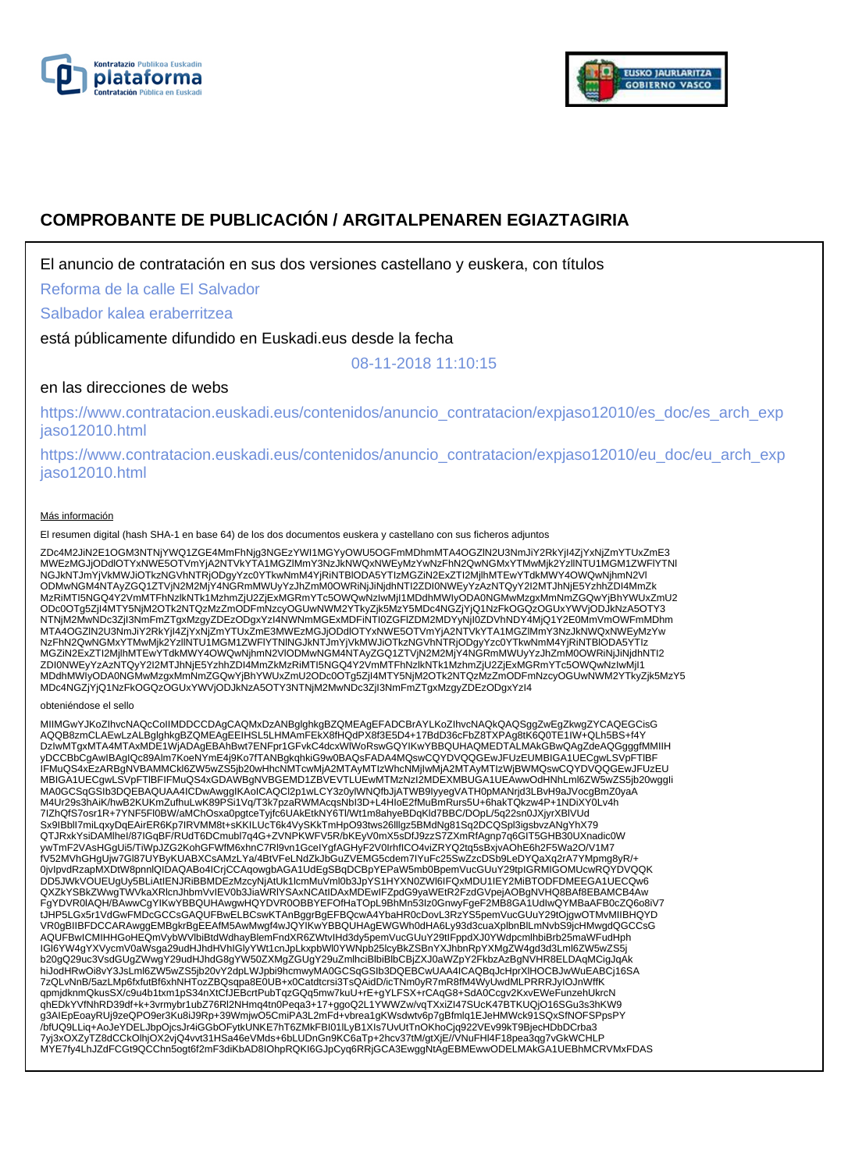



# **COMPROBANTE DE PUBLICACIÓN / ARGITALPENAREN EGIAZTAGIRIA**

El anuncio de contratación en sus dos versiones castellano y euskera, con títulos

Reforma de la calle El Salvador

Salbador kalea eraberritzea

está públicamente difundido en Euskadi.eus desde la fecha

08-11-2018 11:10:15

# en las direcciones de webs

https://www.contratacion.euskadi.eus/contenidos/anuncio\_contratacion/expjaso12010/es\_doc/es\_arch\_exp jaso12010.html

https://www.contratacion.euskadi.eus/contenidos/anuncio\_contratacion/expjaso12010/eu\_doc/eu\_arch\_exp jaso12010.html

### Más información

El resumen digital (hash SHA-1 en base 64) de los dos documentos euskera y castellano con sus ficheros adjuntos

ZDc4M2JiN2E1OGM3NTNjYWQ1ZGE4MmFhNjg3NGEzYWI1MGYyOWU5OGFmMDhmMTA4OGZlN2U3NmJiY2RkYjI4ZjYxNjZmYTUxZmE3<br>MWEzMGJjODdlOTYxNWE5OTVmYjA2NTVkYTA1MGZlMmY3NzJkNWQxNWEyMzYwNzFhN2QwNGMxYTMwMjk2YzllNTU1MGM1ZWFlYTNl NGJkNTJmYjVkMWJiOTkzNGVhNTRjODgyYzc0YTkwNmM4YjRiNTBIODA5YTIzMGZiN2ExZTI2MjIhMTEwYTdkMWY4OWQwNjhmN2Vl<br>ODMwNGM4NTAyZGQ1ZTVjN2M2MjY4NGRmMWUyYzJhZmM0OWRiNjJiNjdhNTI2ZDI0NWEyYzAzNTQyY2I2MTJhNjE5YzhhZDI4MmZk MzRiMTI5NGQ4Y2VmMTFhNzlkNTk1MzhmZjU2ZjExMGRmYTc5OWQwNzIwMjI1MDdhMWIyODA0NGMwMzgxMmNmZGQwYjBhYWUxZmU2 ODc0OTg5ZjI4MTY5NjM2OTk2NTQzMzZmODFmNzcyOGUwNWM2YTkyZjk5MzY5MDc4NGZjYjQ1NzFkOGQzOGUxYWVjODJkNzA5OTY3 NTNjM2MwNDc3ZjI3NmFmZTgxMzgyZDEzODgxYzI4NWNmMGExMDFiNTI0ZGFlZDM2MDYyNjI0ZDVhNDY4MjQ1Y2E0MmVmOWFmMDhm MTA4OGZlN2U3NmJiY2RkYjI4ZjYxNjZmYTUxZmE3MWEzMGJjODdlOTYxNWE5OTVmYjA2NTVkYTA1MGZlMmY3NzJkNWQxNWEyMzYw NzFhN2QwNGMxYTMwMjk2YzllNTU1MGM1ZWFIYTNINGJkNTJmYjVkMWJiOTkzNGVhNTRjODgyYzc0YTkwNmM4YjRiNTBlODA5YTIz<br>MGZiN2ExZTI2MjlhMTEwYTdkMWY4OWQwNjhmN2VlODMwNGM4NTAyZGQ1ZTVjN2M2MjY4NGRmMWUyYzJhZmM0OWRiNjJiNjdhNTI2 ZDI0NWEyYzAzNTQyY2I2MTJhNjE5YzhhZDI4MmZkMzRiMTI5NGQ4Y2VmMTFhNzlkNTk1MzhmZjU2ZjExMGRmYTc5OWQwNzIwMjI1<br>MDdhMWIyODA0NGMwMzgxMmNmZGQwYjBhYWUxZmU2ODc0OTg5ZjI4MTY5NjM2OTk2NTQzMzZmODFmNzcyOGUwNWM2YTkyZjk5MzY5 MDc4NGZjYjQ1NzFkOGQzOGUxYWVjODJkNzA5OTY3NTNjM2MwNDc3ZjI3NmFmZTgxMzgyZDEzODgxYzI4

### obteniéndose el sello

MIIMGwYJKoZIhvcNAQcCoIIMDDCCDAgCAQMxDzANBglghkgBZQMEAgEFADCBrAYLKoZIhvcNAQkQAQSggZwEgZkwgZYCAQEGCisG<br>AQQB8zmCLAEwLzALBglghkgBZQMEAgEEIHSL5LHMAmFEkX8fHQdPX8f3E5D4+17BdD36cFbZ8TXPAg8tK6Q0TE1IW+QLh5BS+f4Y DzIwMTgxMTA4MTAxMDE1WjADAgEBAhBwt7ENFpr1GFvkC4dcxWlWoRswGQYIKwYBBQUHAQMEDTALMAkGBwQAgZdeAQGgggfMMIIH yDCCBbCgAwIBAgIQc89Alm7KoeNYmE4j9Ko7fTANBgkqhkiG9w0BAQsFADA4MQswCQYDVQQGEwJFUzEUMBIGA1UECgwLSVpFTlBF IFMuQS4xEzARBgNVBAMMCkl6ZW5wZS5jb20wHhcNMTcwMjA2MTAyMTIzWhcNMjIwMjA2MTAyMTIzWjBWMQswCQYDVQQGEwJFUzEU MBIGA1UECgwLSVpFTlBFIFMuQS4xGDAWBgNVBGEMD1ZBVEVTLUEwMTMzNzI2MDEXMBUGA1UEAwwOdHNhLml6ZW5wZS5jb20wggIi MA0GCSqGSIb3DQEBAQUAA4ICDwAwggIKAoICAQCl2p1wLCY3z0yIWNQfbJjATWB9IyyegVATH0pMANrjd3LBvH9aJVocgBmZ0yaA<br>M4Ur29s3hAiK/hwB2KUKmZufhuLwK89PSi1Vq/T3k7pzaRWMAcqsNbI3D+L4HIoE2fMuBmRurs5U+6hakTQkzw4P+1NDiXY0Lv4h 7IZhQfS7osr1R+7YNF5Fl0BW/aMChOsxa0pgtceTyjfc6UAkEtkNY6Tl/Wt1m8ahyeBDqKld7BBC/DOpL/5q22sn0JXjyrXBlVUd<br>Sx9IBblI7miLqxyDqEAirER6Kp7IRVMM8t+sKKILUcT6k4VySKkTmHpO93tws26llIgz5BMdNg81Sq2DCQSpl3igsbvzANgYhX79 QTJRxkYsiDAMlheI/87IGqBF/RUdT6DCmubl7q4G+ZVNPKWFV5R/bKEyV0mX5sDfJ9zzS7ZXmRfAgnp7q6GIT5GHB30UXnadic0W ywTmF2VAsHGgUi5/TiWpJZG2KohGFWfM6xhnC7Rl9vn1GceIYgfAGHyF2V0IrhfICO4viZRYQ2tq5sBxjvAOhE6h2F5Wa2O/V1M7 fV52MVhGHgUjw7Gl87UYByKUABXCsAMzLYa/4BtVFeLNdZkJbGuZVEMG5cdem7IYuFc25SwZzcDSb9LeDYQaXq2rA7YMpmg8yR/+ 0jvIpvdRzapMXDtW8pnnlQIDAQABo4ICrjCCAqowgbAGA1UdEgSBqDCBpYEPaW5mb0BpemVucGUuY29tpIGRMIGOMUcwRQYDVQQK DD5JWkVOUEUgUy5BLiAtIENJRiBBMDEzMzcyNjAtUk1lcmMuVml0b3JpYS1HYXN0ZWl6IFQxMDU1IEY2MiBTODFDMEEGA1UECQw6<br>QXZkYSBkZWwgTWVkaXRlcnJhbmVvIEV0b3JiaWRlYSAxNCAtIDAxMDEwIFZpdG9yaWEtR2FzdGVpejAOBgNVHQ8BAf8EBAMCB4Aw FgYDVR0IAQH/BAwwCgYIKwYBBQUHAwgwHQYDVR0OBBYEFOfHaTOpL9BhMn53Iz0GnwyFgeF2MB8GA1UdIwQYMBaAFB0cZQ6o8iV7<br>tJHP5LGx5r1VdGwFMDcGCCsGAQUFBwELBCswKTAnBggrBgEFBQcwA4YbaHR0cDovL3RzYS5pemVucGUuY29tOjgwOTMvMIIBHQYD VR0gBIIBFDCCARAwggEMBgkrBgEEAfM5AwMwgf4wJQYIKwYBBQUHAgEWGWh0dHA6Ly93d3cuaXplbnBlLmNvbS9jcHMwgdQGCCsG AQUFBwICMIHHGoHEQmVybWVlbiBtdWdhayBlemFndXR6ZWtvIHd3dy5pemVucGUuY29tIFppdXJ0YWdpcmlhbiBrb25maWFudHph IGl6YW4gYXVycmV0aWsga29udHJhdHVhIGlyYWt1cnJpLkxpbWl0YWNpb25lcyBkZSBnYXJhbnRpYXMgZW4gd3d3Lml6ZW5wZS5j b20gQ29uc3VsdGUgZWwgY29udHJhdG8gYW50ZXMgZGUgY29uZmlhciBlbiBlbCBjZXJ0aWZpY2FkbzAzBgNVHR8ELDAqMCigJqAk hiJodHRwOi8vY3JsLml6ZW5wZS5jb20vY2dpLWJpbi9hcmwyMA0GCSqGSIb3DQEBCwUAA4ICAQBqJcHprXlHOCBJwWuEABCj16SA 7zQLvNnB/5azLMp6fxfutBf6xhNHTozZBQsqpa8E0UB+x0Catdtcrsi3TsQAidD/icTNm0yR7mR8fM4WyUwdMLPRRRJyIOJnWffK qpmjdknmQkusSX/c9u4b1txm1pS34nXtCfJEBcrtPubTqzGQq5mw7kuU+rE+gYLFSX+rCAqG8+SdA0Ccgv2KxvEWeFunzehUkrcN<br>qhEDkYVfNhRD39df+k+3vrmybr1ubZ76Rl2NHmq4tn0Peqa3+17+ggoQ2L1YWWZw/vqTXxiZl47SUcK47BTKUQjO16SGu3s3hKW9 g3AIEpEoayRUj9zeQPO9er3Ku8iJ9Rp+39WmjwO5CmiPA3L2mFd+vbrea1gKWsdwtv6p7gBfmlq1EJeHMWck91SQxSfNOFSPpsPY<br>/bfUQ9LLiq+AoJeYDELJbpOjcsJr4iGGbOFytkUNKE7hT6ZMkFBI01lLyB1XIs7UvUtTnOKhoCjq922VEv99kT9BjecHDbDCrba3 7yj3xOXZyTZ8dCCkOlhjOX2vjQ4vvt31HSa46eVMds+6bLUDnGn9KC6aTp+2hcv37tM/gtXjE//VNuFHl4F18pea3qg7vGkWCHLP MYE7fy4LhJZdFCGt9QCChn5ogt6f2mF3diKbAD8IOhpRQKI6GJpCyq6RRjGCA3EwggNtAgEBMEwwODELMAkGA1UEBhMCRVMxFDAS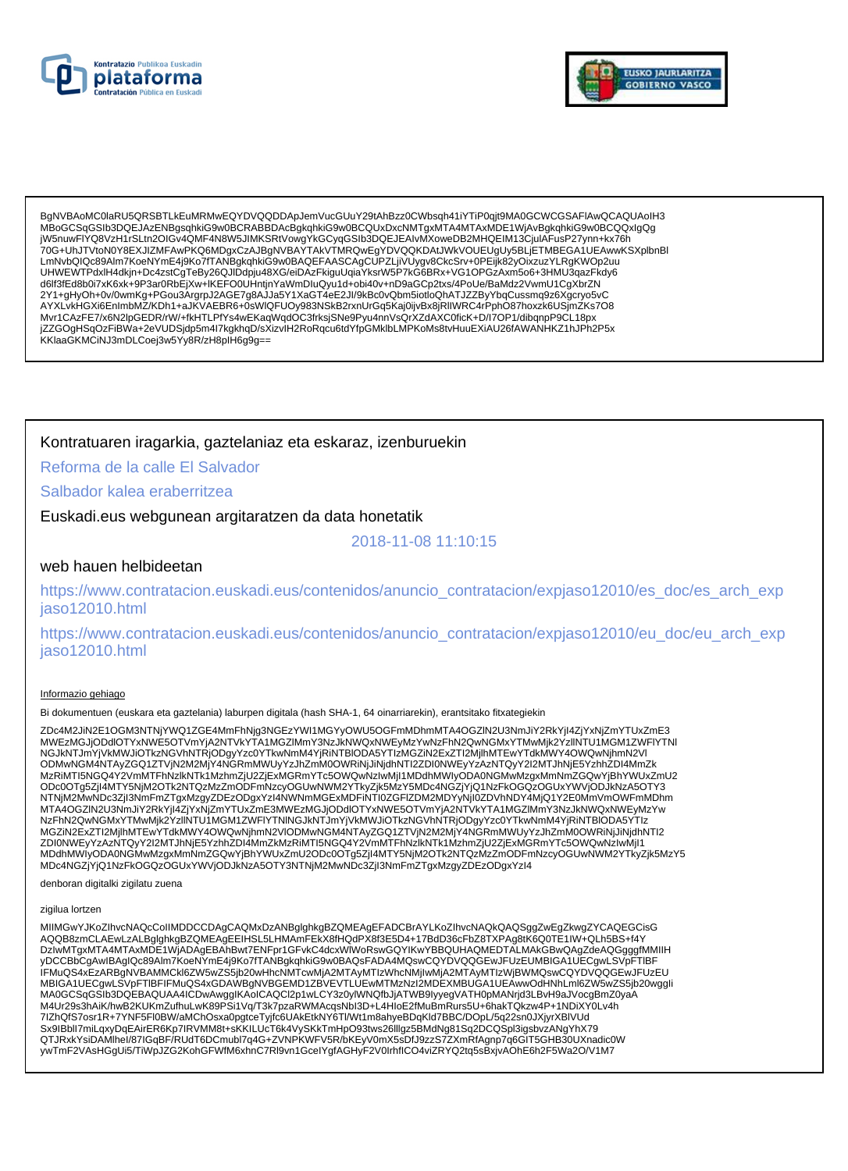



BaNVBAoMC0laRU5QRSBTLkEuMRMwEQYDVQQDDApJemVucGUuY29tAhBzz0CWbsah41iYTiP0ait9MA0GCWCGSAFIAwQCAQUAoIH3 MBoGCSqGSlb3DQEJAzENBgsqhkiG9w0BCRABBDAcBgkqhkiG9w0BCQUxDxcNMTgxMTA4MTAxMDE1WjAvBgkqhkiG9w0BCQQxlgQg LmNvbQlQc89Alm7KoeNYmE4j9Ko7fTANBgkqhkiG9w0BAQEFAASCAgCUPZLjiVUygv8CkcSrv+0PEijk82yOixzuzYLRgKWOp2uu UHWEWTPdxlH4dkjn+Dc4zstCgTeBy26QJIDdpju48XG/eiDAzFkiguUqiaYksrW5P7kG6BRx+VG1OPGzAxm5o6+3HMU3qazFkdy6 d6lf3fEd8b0i7xK6xk+9P3ar0RbEjXw+IKEFO0UHntjnYaWmDluQyu1d+obi40v+nD9aGCp2txs/4PoUe/BaMdz2VwmU1CgXbrZN 2Y1+gHyOh+0v/0wmKg+PGou3ArgrpJ2AGE7g8AJJa5Y1XaGT4eE2JI/9kBc0vQbm5iotloQhATJZZByYbqCussmq9z6Xgcryo5vC 2 + ++gmyon+ovowning+r oouoonigipuzzoo-t i gorooso + i ∧ao + +ec.zoir shocoxozonionoshina harden productionali<br>AYXLvkHGXi6EnImbMZ/KDh1+aJKVAEBR6+0sWIQFU0y983NSkB2rxnUrGq5Kaj0jiyBx8jRllWRC4rPphO87hoxzk6USjmZKs7O8<br>Mvr1CAzFE jZZGOgHSqOzFiBWa+2eVUDSjdp5m4l7kgkhqD/sXizvIH2RoRqcu6tdYfpGMklbLMPKoMs8tvHuuEXiAU26fAWANHKZ1hJPh2P5x KKlaaGKMCINJ3mDLCoej3w5Yy8R/zH8plH6g9g==

## Kontratuaren iragarkia, gaztelaniaz eta eskaraz, izenburuekin

Reforma de la calle El Salvador

Salbador kalea eraberritzea

Euskadi.eus webgunean argitaratzen da data honetatik

2018-11-08 11:10:15

### web hauen helbideetan

https://www.contratacion.euskadi.eus/contenidos/anuncio\_contratacion/expjaso12010/es\_doc/es\_arch\_exp jaso12010.html

https://www.contratacion.euskadi.eus/contenidos/anuncio\_contratacion/expjaso12010/eu\_doc/eu\_arch\_exp jaso12010.html

#### Informazio gehiago

Bi dokumentuen (euskara eta gaztelania) laburpen digitala (hash SHA-1, 64 oinarriarekin), erantsitako fitxategiekin

ZDc4M2JiN2E1OGM3NTNjYWQ1ZGE4MmFhNjq3NGEzYWI1MGYyOWU5OGFmMDhmMTA4OGZIN2U3NmJiY2RkYjI4ZjYxNjZmYTUxZmE3 MWEzMGJjODdlOTYxNWE5OTVmYjA2NTVkYTA1MGZIMmY3NzJkNWQxNWEyMzYwNzFhN2QwNGMxYTMwMjk2YzlINTU1MGM1ZWFIYTNI NGJkNTJmYjVkMWJiOTkzNGVhNTRjODgyYzc0YTkwNmM4YjRiNTBIODA5YTIzMGZiN2ExZTI2MjlhMTEwYTdkMWY4OWQwNjhmN2VI ODMwNGM4NTAyZGQ1ZTVjN2M2MjY4NGRmMWUyYzJhZmM0OWRiNjJiNjdhNTI2ZDI0NWEyYzAzNTQyY2I2MTJhNjE5YzhhZDI4MmZk MzRiMTI5NGQ4Y2VmMTFhNzlkNTk1MzhmZjU2ZjExMGRmYTc5OWQwNzlwMjI1MDdhMWIyODA0NGMwMzgxMmNmZGQwYjBhYWUxZmU2 ODc0OTg5ZjI4MTY5NjM2OTk2NTQzMzZmODFmNzcyOGUwNWM2YTkyZjk5MzY5MDc4NGZjYjQ1NzFkOGQzOGUxYWVjODJkNzA5OTY3<br>NTNjM2MwNDc3ZjI3NmFmZTgxMzgyZDEzODgxYzI4NWNmMGExMDFiNTl0ZGFIZDM2MDYyNjI0ZDVhNDY4MjQ1Y2E0MmVmOWFmMDhm MTA4OGZIN2U3NmJiY2RkYji4ZjYxNjZmYTUxZmE3MWEzMGJjODdlOTYxNWE5OTVmYjA2NTVkYTA1MGZIMmY3NzJkNWQxNWEyMzYw NZFhN2QwNGMxYTMwMjk2YzIINTU1MGM1ZWFIYTNINGJkNTJmYjVkMWJiOTkzNGVhNTRjODqyYzc0YTkwNmM4YjRiNTBIODA5YTIz MGZiN2ExZTI2MjIhMTEwYTdkMWY4OWQwNjhmN2VIODMwNGM4NTAyZGQ1ZTVjN2M2MjY4NGRmMWUyYzJhZmM0OWRiNjJiNjdhNTI2 ZDI0NWEyYzAzNTQyY2I2MTJhNjE5YzhhZDI4MmZkMzRiMTI5NGQ4Y2VmMTFhNzlkNTk1MzhmZjU2ZjExMGRmYTc5OWQwNzlwMjl1 MDdhMWIyODA0NGMwMzgxMmNmZGQwYjBhYWUxZmU2ODc0OTg5ZjI4MTY5NjM2OTk2NTQzMzZmODFmNzcyOGUwNWM2YTkyZjk5MzY5 MDc4NGZjYjQ1NzFkOGQzOGUxYWVjODJkNzA5OTY3NTNjM2MwNDc3ZjI3NmFmZTgxMzgyZDEzODgxYzI4

denboran digitalki zigilatu zuena

### zigilua lortzen

MIIMGwYJKoZIhvcNAQcCoIIMDDCCDAgCAQMxDzANBglghkgBZQMEAgEFADCBrAYLKoZIhvcNAQkQAQSggZwEgZkwgZYCAQEGCisG AQQB8zmCLAEwLzALBglghkgBZQMEAgEEIHSL5LHMAmFEkX8fHQdPX8f3E5D4+17BdD36cFbZ8TXPAg8tK6Q0TE1IW+QLh5BS+f4Y<br>DzIwMTgxMTA4MTAxMDE1WjADAgEBAhBwt7ENFpr1GFvkC4dcxWlWoRswGQYIKwYBBQUHAQMEDTALMAkGBwQAgZdeAQGgggfMMIIH UMAGAANIA AASTAN AASTAN KARA SAADA AASTAN EE OO KA KARA SAADA AASTAN AASTAN ISAA SAADA HARA SAADA HARA SAADA H<br>IFMuQS4xEzARBgNVBAMMCkl6ZW5wZS5jb20wHhcNMTcwMjA2MTAyMTIzWhcNMjlwMjA2MTAyMTIzWjBWMQswCQYDVQQGEwJFUzEU MBIGA1UECgwLSVpFTIBFIFMuQS4xGDAWBgNVBGEMD1ZBVEVTLUEwMTMzNzI2MDEXMBUGA1UEAwwOdHNhLml6ZW5wZS5jb20wggli MA0GCSqGSIb3DQEBAQUAA4ICDwAwgglKAoICAQCl2p1wLCY3z0ylWNQfbJjATWB9lyyegVATH0pMANrjd3LBvH9aJVocgBmZ0yaA M4Ur29s3hAiK/hwB2KUKmZufhuLwK89PSi1Vq/T3k7pzaRWMAcqsNbl3D+L4HIoE2fMuBmRurs5U+6hakTQkzw4P+1NDiXY0Lv4h 7IZhQfS7osr1R+7YNF5FI0BW/aMChOsxa0pgtceTyjfc6UAkEtkNY6TI/Wt1m8ahyeBDqKId7BBC/DOpL/5q22sn0JXjyrXBIVUd ywTmF2VAsHGgUi5/TiWpJZG2KohGFWfM6xhnC7Rl9vn1GcelYgfAGHyF2V0IrhfICO4viZRYQ2tq5sBxjvAOhE6h2F5Wa2O/V1M7